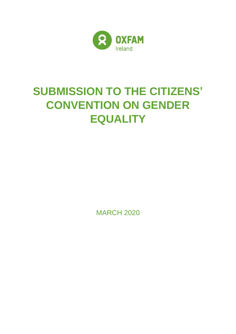

# **SUBMISSION TO THE CITIZENS' CONVENTION ON GENDER EQUALITY**

MARCH 2020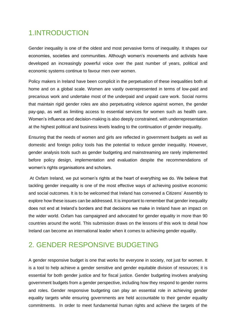### 1.INTRODUCTION

Gender inequality is one of the oldest and most pervasive forms of inequality. It shapes our economies, societies and communities. Although women's movements and activists have developed an increasingly powerful voice over the past number of years, political and economic systems continue to favour men over women.

Policy makers in Ireland have been complicit in the perpetuation of these inequalities both at home and on a global scale. Women are vastly overrepresented in terms of low-paid and precarious work and undertake most of the underpaid and unpaid care work. Social norms that maintain rigid gender roles are also perpetuating violence against women, the gender pay-gap, as well as limiting access to essential services for women such as health care. Women's influence and decision-making is also deeply constrained, with underrepresentation at the highest political and business levels leading to the continuation of gender inequality.

Ensuring that the needs of women and girls are reflected in government budgets as well as domestic and foreign policy tools has the potential to reduce gender inequality. However, gender analysis tools such as gender budgeting and mainstreaming are rarely implemented before policy design, implementation and evaluation despite the recommendations of women's rights organisations and scholars.

At Oxfam Ireland, we put women's rights at the heart of everything we do. We believe that tackling gender inequality is one of the most effective ways of achieving positive economic and social outcomes. It is to be welcomed that Ireland has convened a Citizens' Assembly to explore how these issues can be addressed. It is important to remember that gender inequality does not end at Ireland's borders and that decisions we make in Ireland have an impact on the wider world. Oxfam has campaigned and advocated for gender equality in more than 90 countries around the world. This submission draws on the lessons of this work to detail how Ireland can become an international leader when it comes to achieving gender equality.

### 2. GENDER RESPONSIVE BUDGETING

A gender responsive budget is one that works for everyone in society, not just for women. It is a tool to help achieve a gender sensitive and gender equitable division of resources; it is essential for both gender justice and for fiscal justice. Gender budgeting involves analysing government budgets from a gender perspective, including how they respond to gender norms and roles. Gender responsive budgeting can play an essential role in achieving gender equality targets while ensuring governments are held accountable to their gender equality commitments. In order to meet fundamental human rights and achieve the targets of the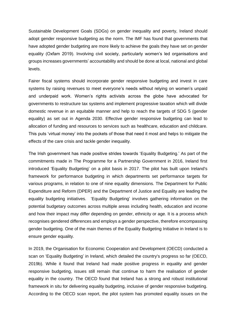Sustainable Development Goals (SDGs) on gender inequality and poverty, Ireland should adopt gender responsive budgeting as the norm. The IMF has found that governments that have adopted gender budgeting are more likely to achieve the goals they have set on gender equality (Oxfam 2019). Involving civil society, particularly women's led organisations and groups increases governments' accountability and should be done at local, national and global levels.

Fairer fiscal systems should incorporate gender responsive budgeting and invest in care systems by raising revenues to meet everyone's needs without relying on women's unpaid and underpaid work. Women's rights activists across the globe have advocated for governments to restructure tax systems and implement progressive taxation which will divide domestic revenue in an equitable manner and help to reach the targets of SDG 5 (gender equality) as set out in Agenda 2030. Effective gender responsive budgeting can lead to allocation of funding and resources to services such as healthcare, education and childcare. This puts 'virtual money' into the pockets of those that need it most and helps to mitigate the effects of the care crisis and tackle gender inequality.

The Irish government has made positive strides towards 'Equality Budgeting.' As part of the commitments made in The Programme for a Partnership Government in 2016, Ireland first introduced 'Equality Budgeting' on a pilot basis in 2017. The pilot has built upon Ireland's framework for performance budgeting in which departments set performance targets for various programs, in relation to one of nine equality dimensions. The Department for Public Expenditure and Reform (DPER) and the Department of Justice and Equality are leading the equality budgeting initiatives. 'Equality Budgeting' involves gathering information on the potential budgetary outcomes across multiple areas including health, education and income and how their impact may differ depending on gender, ethnicity or age. It is a process which recognises gendered differences and employs a gender perspective, therefore encompassing gender budgeting. One of the main themes of the Equality Budgeting Initiative in Ireland is to ensure gender equality.

In 2019, the Organisation for Economic Cooperation and Development (OECD) conducted a scan on 'Equality Budgeting' in Ireland, which detailed the country's progress so far (OECD, 2019b). While it found that Ireland had made positive progress in equality and gender responsive budgeting, issues still remain that continue to harm the realisation of gender equality in the country. The OECD found that Ireland has a strong and robust institutional framework in situ for delivering equality budgeting, inclusive of gender responsive budgeting. According to the OECD scan report, the pilot system has promoted equality issues on the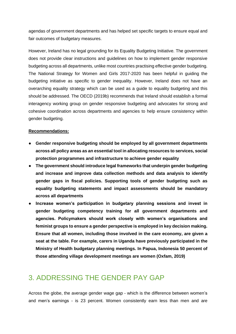agendas of government departments and has helped set specific targets to ensure equal and fair outcomes of budgetary measures.

However, Ireland has no legal grounding for its Equality Budgeting Initiative. The government does not provide clear instructions and guidelines on how to implement gender responsive budgeting across all departments, unlike most countries practising effective gender budgeting. The National Strategy for Women and Girls 2017-2020 has been helpful in guiding the budgeting initiative as specific to gender inequality. However, Ireland does not have an overarching equality strategy which can be used as a guide to equality budgeting and this should be addressed. The OECD (2019b) recommends that Ireland should establish a formal interagency working group on gender responsive budgeting and advocates for strong and cohesive coordination across departments and agencies to help ensure consistency within gender budgeting.

#### **Recommendations:**

- **Gender responsive budgeting should be employed by all government departments across all policy areas as an essential tool in allocating resources to services, social protection programmes and infrastructure to achieve gender equality**
- **The government should introduce legal frameworks that underpin gender budgeting and increase and improve data collection methods and data analysis to identify gender gaps in fiscal policies. Supporting tools of gender budgeting such as equality budgeting statements and impact assessments should be mandatory across all departments**
- **Increase women's participation in budgetary planning sessions and invest in gender budgeting competency training for all government departments and agencies. Policymakers should work closely with women's organisations and feminist groups to ensure a gender perspective is employed in key decision making. Ensure that all women, including those involved in the care economy, are given a seat at the table. For example, carers in Uganda have previously participated in the Ministry of Health budgetary planning meetings. In Papua, Indonesia 50 percent of those attending village development meetings are women (Oxfam, 2019)**

### 3. ADDRESSING THE GENDER PAY GAP

Across the globe, the average gender wage gap - which is the difference between women's and men's earnings - is 23 percent. Women consistently earn less than men and are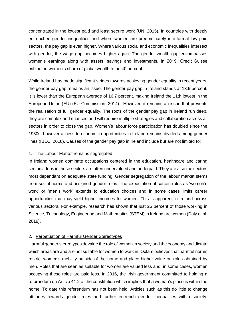concentrated in the lowest paid and least secure work (UN, 2015). In countries with deeply entrenched gender inequalities and where women are predominately in informal low paid sectors, the pay gap is even higher. Where various social and economic inequalities intersect with gender, the wage gap becomes higher again. The gender wealth gap encompasses women's earnings along with assets, savings and investments. In 2019, Credit Suisse estimated women's share of global wealth to be 40 percent.

While Ireland has made significant strides towards achieving gender equality in recent years, the gender pay gap remains an issue. The gender pay gap in Ireland stands at 13.9 percent. It is lower than the European average of 16.7 percent, making Ireland the 11th lowest in the European Union (EU) (EU Commission, 2014). However, it remains an issue that prevents the realisation of full gender equality. The roots of the gender pay gap in Ireland run deep, they are complex and nuanced and will require multiple strategies and collaboration across all sectors in order to close the gap. Women's labour force participation has doubled since the 1980s, however access to economic opportunities in Ireland remains divided among gender lines (IBEC, 2018). Causes of the gender pay gap in Ireland include but are not limited to:

#### 1. The Labour Market remains segregated

In Ireland women dominate occupations centered in the education, healthcare and caring sectors. Jobs in these sectors are often undervalued and underpaid. They are also the sectors most dependant on adequate state funding. Gender segregation of the labour market stems from social norms and assigned gender roles. The expectation of certain roles as 'women's work' or 'men's work' extends to education choices and in some cases limits career opportunities that may yield higher incomes for women. This is apparent in Ireland across various sectors. For example, research has shown that just 25 percent of those working in Science, Technology, Engineering and Mathematics (STEM) in Ireland are women (Daly et al, 2018).

#### 2. Perpetuation of Harmful Gender Stereotypes

Harmful gender stereotypes devalue the role of women in society and the economy and dictate which areas are and are not suitable for women to work in. Oxfam believes that harmful norms restrict women's mobility outside of the home and place higher value on roles obtained by men. Roles that are seen as suitable for women are valued less and, in some cases, women occupying these roles are paid less. In 2016, the Irish government committed to holding a referendum on Article 41.2 of the constitution which implies that a woman's place is within the home. To date this referendum has not been held. Articles such as this do little to change attitudes towards gender roles and further entrench gender inequalities within society.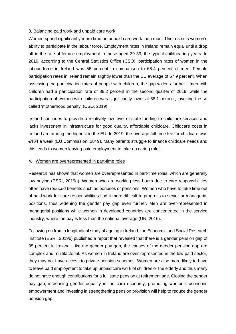#### 3. Balancing paid work and unpaid care work

Women spend significantly more time on unpaid care work than men. This restricts women's ability to participate in the labour force. Employment rates in Ireland remain equal until a drop off in the rate of female employment in those aged 29-39, the typical childbearing years. In 2019, according to the Central Statistics Office (CSO), participation rates of women in the labour force in Ireland was 56 percent in comparison to 68.4 percent of men. Female participation rates in Ireland remain slightly lower than the EU average of 57.9 percent. When assessing the participation rates of people with children, the gap widens further - men with children had a participation rate of 88.2 percent in the second quarter of 2019, while the participation of women with children was significantly lower at 68.1 percent, invoking the so called 'motherhood penalty' (CSO, 2019).

Ireland continues to provide a relatively low level of state funding to childcare services and lacks investment in infrastructure for good quality, affordable childcare. Childcare costs in Ireland are among the highest in the EU. In 2019, the average full-time fee for childcare was €184 a week (EU Commission, 2019). Many parents struggle to finance childcare needs and this leads to women leaving paid employment to take up caring roles.

#### 4. Women are overrepresented in part-time roles

Research has shown that women are overrepresented in part-time roles, which are generally low paying (ESRI, 2019a). Women who are working less hours due to care responsibilities often have reduced benefits such as bonuses or pensions. Women who have to take time out of paid work for care responsibilities find it more difficult to progress to senior or managerial positions, thus widening the gender pay gap even further. Men are over-represented in managerial positions while women in developed countries are concentrated in the service industry, where the pay is less than the national average (UN, 2016).

Following on from a longitudinal study of ageing in Ireland, the Economic and Social Research Institute (ESRI, 2019b) published a report that revealed that there is a gender pension gap of 35 percent in Ireland. Like the gender pay gap, the causes of the gender pension gap are complex and multifactorial. As women in Ireland are over-represented in the low paid sector, they may not have access to private pension schemes. Women are also more likely to have to leave paid employment to take up unpaid care work of children or the elderly and thus many do not have enough contributions for a full state pension at retirement age. Closing the gender pay gap, increasing gender equality in the care economy, promoting women's economic empowerment and investing in strengthening pension provision will help to reduce the gender pension gap.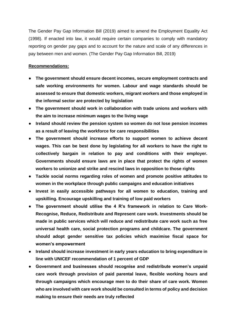The Gender Pay Gap Information Bill (2019) aimed to amend the Employment Equality Act (1998). If enacted into law, it would require certain companies to comply with mandatory reporting on gender pay gaps and to account for the nature and scale of any differences in pay between men and women. (The Gender Pay Gap Information Bill, 2019)

#### **Recommendations:**

- **The government should ensure decent incomes, secure employment contracts and safe working environments for women. Labour and wage standards should be assessed to ensure that domestic workers, migrant workers and those employed in the informal sector are protected by legislation**
- **The government should work in collaboration with trade unions and workers with the aim to increase minimum wages to the living wage**
- **Ireland should review the pension system so women do not lose pension incomes as a result of leaving the workforce for care responsibilities**
- **The government should increase efforts to support women to achieve decent wages. This can be best done by legislating for all workers to have the right to collectively bargain in relation to pay and conditions with their employer. Governments should ensure laws are in place that protect the rights of women workers to unionize and strike and rescind laws in opposition to those rights**
- **Tackle social norms regarding roles of women and promote positive attitudes to women in the workplace through public campaigns and education initiatives**
- **Invest in easily accessible pathways for all women to education, training and upskilling. Encourage upskilling and training of low paid workers**
- **The government should utilise the 4 R's framework in relation to Care Work-Recognise, Reduce, Redistribute and Represent care work. Investments should be made in public services which will reduce and redistribute care work such as free universal health care, social protection programs and childcare. The government should adopt gender sensitive tax policies which maximise fiscal space for women's empowerment**
- **Ireland should increase investment in early years education to bring expenditure in line with UNICEF recommendation of 1 percent of GDP**
- **Government and businesses should recognise and redistribute women's unpaid care work through provision of paid parental leave, flexible working hours and through campaigns which encourage men to do their share of care work. Women who are involved with care work should be consulted in terms of policy and decision making to ensure their needs are truly reflected**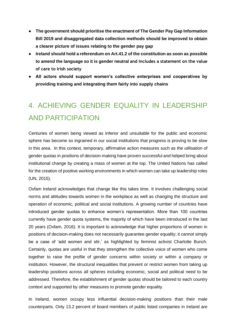- **The government should prioritise the enactment of The Gender Pay Gap Information Bill 2019 and disaggregated data collection methods should be improved to obtain a clearer picture of issues relating to the gender pay gap**
- **Ireland should hold a referendum on Art.41.2 of the constitution as soon as possible to amend the language so it is gender neutral and includes a statement on the value of care to Irish society**
- **All actors should support women's collective enterprises and cooperatives by providing training and integrating them fairly into supply chains**

# 4. ACHIEVING GENDER EQUALITY IN LEADERSHIP AND PARTICIPATION

Centuries of women being viewed as inferior and unsuitable for the public and economic sphere has become so ingrained in our social institutions that progress is proving to be slow in this area. In this context, temporary, affirmative action measures such as the utilisation of gender quotas in positions of decision-making have proven successful and helped bring about institutional change by creating a mass of women at the top. The United Nations has called for the creation of positive working environments in which women can take up leadership roles (UN, 2015).

Oxfam Ireland acknowledges that change like this takes time. It involves challenging social norms and attitudes towards women in the workplace as well as changing the structure and operation of economic, political and social institutions. A growing number of countries have introduced gender quotas to enhance women's representation. More than 100 countries currently have gender quota systems, the majority of which have been introduced in the last 20 years (Oxfam, 2016). It is important to acknowledge that higher proportions of women in positions of decision-making does not necessarily guarantee gender equality; it cannot simply be a case of 'add women and stir,' as highlighted by feminist activist Charlotte Bunch. Certainly, quotas are useful in that they strengthen the collective voice of women who come together to raise the profile of gender concerns within society or within a company or institution. However, the structural inequalities that prevent or restrict women from taking up leadership positions across all spheres including economic, social and political need to be addressed. Therefore, the establishment of gender quotas should be tailored to each country context and supported by other measures to promote gender equality.

In Ireland, women occupy less influential decision-making positions than their male counterparts. Only 13.2 percent of board members of public listed companies in Ireland are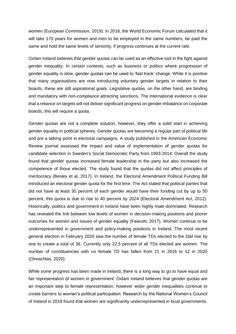women (European Commission, 2019). In 2016, the World Economic Forum calculated that it will take 170 years for women and men to be employed in the same numbers, be paid the same and hold the same levels of seniority, if progress continues at the current rate.

Oxfam Ireland believes that gender quotas can be used as an effective tool in the fight against gender inequality. In certain contexts, such as business or politics where progression of gender equality is slow, gender quotas can be used to 'fast track' change. While it is positive that many organisations are now introducing voluntary gender targets in relation to their boards, these are still aspirational goals. Legislative quotas, on the other hand, are binding and mandatory with non-compliance attracting sanctions. The international evidence is clear that a reliance on targets will not deliver significant progress on gender imbalance on corporate boards, this will require a quota.

Gender quotas are not a complete solution; however, they offer a solid start in achieving gender equality in political spheres. Gender quotas are becoming a regular part of political life and are a talking point in electoral campaigns. A study published in the American Economic Review journal assessed the impact and value of implementation of gender quotas for candidate selection in Sweden's Social Democratic Party from 1993-2014. Overall the study found that gender quotas increased female leadership in the party but also increased the competence of those elected. The study found that the quotas did not affect principles of meritocracy (Besley et al, 2017). In Ireland, the Electoral Amendment Political Funding Bill introduced an electoral gender quota for the first time. The Act stated that political parties that did not have at least 30 percent of each gender would have their funding cut by up to 50 percent, this quota is due to rise to 40 percent by 2024 (Electoral Amendment Act, 2012). Historically, politics and government in Ireland have been highly male-dominated. Research has revealed the link between low levels of women in decision-making positions and poorer outcomes for women and issues of gender equality (Fawcett, 2017). Women continue to be underrepresented in government and policy-making positions in Ireland. The most recent general election in February 2020 saw the number of female TDs elected to the Dáil rise by one to create a total of 36. Currently only 22.5 percent of all TDs elected are women. The number of constituencies with no female TD has fallen from 21 in 2016 to 12 in 2020 (Oireachtas, 2020).

While some progress has been made in Ireland, there is a long way to go to have equal and fair representation of women in government. Oxfam Ireland believes that gender quotas are an important step to female representation, however wider gender inequalities continue to create barriers to women's political participation. Research by the National Women's Council of Ireland in 2019 found that women are significantly underrepresented in local governments.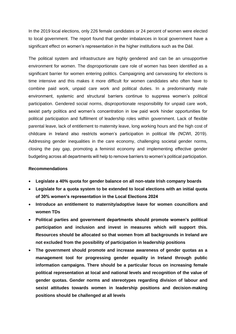In the 2019 local elections, only 226 female candidates or 24 percent of women were elected to local government. The report found that gender imbalances in local government have a significant effect on women's representation in the higher institutions such as the Dáil.

The political system and infrastructure are highly gendered and can be an unsupportive environment for women. The disproportionate care role of women has been identified as a significant barrier for women entering politics. Campaigning and canvassing for elections is time intensive and this makes it more difficult for women candidates who often have to combine paid work, unpaid care work and political duties. In a predominantly male environment, systemic and structural barriers continue to suppress women's political participation. Gendered social norms, disproportionate responsibility for unpaid care work, sexist party politics and women's concentration in low paid work hinder opportunities for political participation and fulfilment of leadership roles within government. Lack of flexible parental leave, lack of entitlement to maternity leave, long working hours and the high cost of childcare in Ireland also restricts women's participation in political life (NCWI, 2019). Addressing gender inequalities in the care economy, challenging societal gender norms, closing the pay gap, promoting a feminist economy and implementing effective gender budgeting across all departments will help to remove barriers to women's political participation.

#### **Recommendations**

- **Legislate a 40% quota for gender balance on all non-state Irish company boards**
- **Legislate for a quota system to be extended to local elections with an initial quota of 30% women's representation in the Local Elections 2024**
- **Introduce an entitlement to maternity/adoptive leave for women councillors and women TDs**
- **Political parties and government departments should promote women's political participation and inclusion and invest in measures which will support this. Resources should be allocated so that women from all backgrounds in Ireland are not excluded from the possibility of participation in leadership positions**
- **The government should promote and increase awareness of gender quotas as a management tool for progressing gender equality in Ireland through public information campaigns. There should be a particular focus on increasing female political representation at local and national levels and recognition of the value of gender quotas. Gender norms and stereotypes regarding division of labour and sexist attitudes towards women in leadership positions and decision-making positions should be challenged at all levels**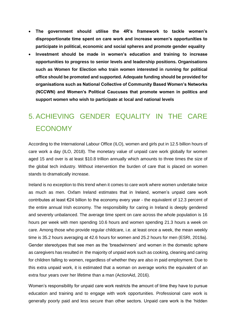- **The government should utilise the 4R's framework to tackle women's disproportionate time spent on care work and increase women's opportunities to participate in political, economic and social spheres and promote gender equality**
- **Investment should be made in women's education and training to increase opportunities to progress to senior levels and leadership positions. Organisations such as Women for Election who train women interested in running for political office should be promoted and supported. Adequate funding should be provided for organisations such as National Collective of Community Based Women's Networks (NCCWN) and Women's Political Caucuses that promote women in politics and support women who wish to participate at local and national levels**

# 5. ACHIEVING GENDER EQUALITY IN THE CARE ECONOMY

According to the International Labour Office (ILO), women and girls put in 12.5 billion hours of care work a day (ILO, 2018). The monetary value of unpaid care work globally for women aged 15 and over is at least \$10.8 trillion annually which amounts to three times the size of the global tech industry. Without intervention the burden of care that is placed on women stands to dramatically increase.

Ireland is no exception to this trend when it comes to care work where women undertake twice as much as men. Oxfam Ireland estimates that in Ireland, women's unpaid care work contributes at least €24 billion to the economy every year - the equivalent of 12.3 percent of the entire annual Irish economy. The responsibility for caring in Ireland is deeply gendered and severely unbalanced. The average time spent on care across the whole population is 16 hours per week with men spending 10.6 hours and women spending 21.3 hours a week on care. Among those who provide regular childcare, i.e. at least once a week, the mean weekly time is 35.2 hours averaging at 42.6 hours for women and 25.2 hours for men (ESRI, 2019a). Gender stereotypes that see men as the 'breadwinners' and women in the domestic sphere as caregivers has resulted in the majority of unpaid work such as cooking, cleaning and caring for children falling to women, regardless of whether they are also in paid employment. Due to this extra unpaid work, it is estimated that a woman on average works the equivalent of an extra four years over her lifetime than a man (ActionAid, 2016).

Women's responsibility for unpaid care work restricts the amount of time they have to pursue education and training and to engage with work opportunities. Professional care work is generally poorly paid and less secure than other sectors. Unpaid care work is the 'hidden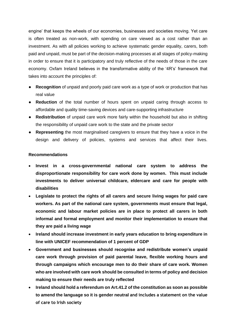engine' that keeps the wheels of our economies, businesses and societies moving. Yet care is often treated as non-work, with spending on care viewed as a cost rather than an investment. As with all policies working to achieve systematic gender equality, carers, both paid and unpaid, must be part of the decision-making processes at all stages of policy-making in order to ensure that it is participatory and truly reflective of the needs of those in the care economy. Oxfam Ireland believes in the transformative ability of the '4R's' framework that takes into account the principles of:

- **Recognition** of unpaid and poorly paid care work as a type of work or production that has real value
- **Reduction** of the total number of hours spent on unpaid caring through access to affordable and quality time-saving devices and care-supporting infrastructure
- **Redistribution** of unpaid care work more fairly within the household but also in shifting the responsibility of unpaid care work to the state and the private sector
- **Representing** the most marginalised caregivers to ensure that they have a voice in the design and delivery of policies, systems and services that affect their lives.

#### **Recommendations**

- **Invest in a cross-governmental national care system to address the disproportionate responsibility for care work done by women. This must include investments to deliver universal childcare, eldercare and care for people with disabilities**
- **Legislate to protect the rights of all carers and secure living wages for paid care workers. As part of the national care system, governments must ensure that legal, economic and labour market policies are in place to protect all carers in both informal and formal employment and monitor their implementation to ensure that they are paid a living wage**
- **Ireland should increase investment in early years education to bring expenditure in line with UNICEF recommendation of 1 percent of GDP**
- **Government and businesses should recognise and redistribute women's unpaid care work through provision of paid parental leave, flexible working hours and through campaigns which encourage men to do their share of care work. Women who are involved with care work should be consulted in terms of policy and decision making to ensure their needs are truly reflected**
- **Ireland should hold a referendum on Art.41.2 of the constitution as soon as possible to amend the language so it is gender neutral and includes a statement on the value of care to Irish society**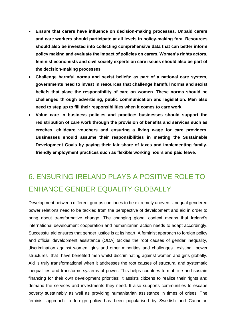- **Ensure that carers have influence on decision-making processes. Unpaid carers and care workers should participate at all levels in policy-making fora. Resources should also be invested into collecting comprehensive data that can better inform policy making and evaluate the impact of policies on carers. Women's rights actors, feminist economists and civil society experts on care issues should also be part of the decision-making processes**
- **Challenge harmful norms and sexist beliefs: as part of a national care system, governments need to invest in resources that challenge harmful norms and sexist beliefs that place the responsibility of care on women. These norms should be challenged through advertising, public communication and legislation. Men also need to step up to fill their responsibilities when it comes to care work**
- **Value care in business policies and practice: businesses should support the redistribution of care work through the provision of benefits and services such as creches, childcare vouchers and ensuring a living wage for care providers. Businesses should assume their responsibilities in meeting the Sustainable Development Goals by paying their fair share of taxes and implementing familyfriendly employment practices such as flexible working hours and paid leave.**

# 6. ENSURING IRELAND PLAYS A POSITIVE ROLE TO ENHANCE GENDER EQUALITY GLOBALLY

Development between different groups continues to be extremely uneven. Unequal gendered power relations need to be tackled from the perspective of development and aid in order to bring about transformative change. The changing global context means that Ireland's international development cooperation and humanitarian action needs to adapt accordingly. Successful aid ensures that gender justice is at its heart. A feminist approach to foreign policy and official development assistance (ODA) tackles the root causes of gender inequality, discrimination against women, girls and other minorities and challenges existing power structures that have benefited men whilst discriminating against women and girls globally. Aid is truly transformational when it addresses the root causes of structural and systematic inequalities and transforms systems of power. This helps countries to mobilise and sustain financing for their own development priorities; it assists citizens to realize their rights and demand the services and investments they need. It also supports communities to escape poverty sustainably as well as providing humanitarian assistance in times of crises. The feminist approach to foreign policy has been popularised by Swedish and Canadian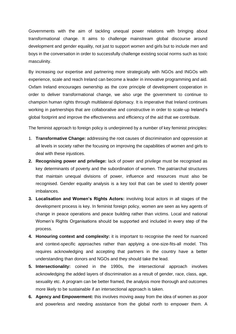Governments with the aim of tackling unequal power relations with bringing about transformational change. It aims to challenge mainstream global discourse around development and gender equality, not just to support women and girls but to include men and boys in the conversation in order to successfully challenge existing social norms such as toxic masculinity.

By increasing our expertise and partnering more strategically with NGOs and INGOs with experience, scale and reach Ireland can become a leader in innovative programming and aid. Oxfam Ireland encourages ownership as the core principle of development cooperation in order to deliver transformational change, we also urge the government to continue to champion human rights through multilateral diplomacy. It is imperative that Ireland continues working in partnerships that are collaborative and constructive in order to scale-up Ireland's global footprint and improve the effectiveness and efficiency of the aid that we contribute.

The feminist approach to foreign policy is underpinned by a number of key feminist principles:

- 1. **Transformative Change:** addressing the root causes of discrimination and oppression at all levels in society rather the focusing on improving the capabilities of women and girls to deal with these injustices.
- **2. Recognising power and privilege:** lack of power and privilege must be recognised as key determinants of poverty and the subordination of women. The patriarchal structures that maintain unequal divisions of power, influence and resources must also be recognised. Gender equality analysis is a key tool that can be used to identify power imbalances.
- **3. Localisation and Women's Rights Actors:** involving local actors in all stages of the development process is key. In feminist foreign policy, women are seen as key agents of change in peace operations and peace building rather than victims. Local and national Women's Rights Organisations should be supported and included in every step of the process.
- **4. Honouring context and complexity:** it is important to recognise the need for nuanced and context-specific approaches rather than applying a one-size-fits-all model. This requires acknowledging and accepting that partners in the country have a better understanding than donors and NGOs and they should take the lead.
- **5. Intersectionality:** coined in the 1990s, the intersectional approach involves acknowledging the added layers of discrimination as a result of gender, race, class, age, sexuality etc. A program can be better framed, the analysis more thorough and outcomes more likely to be sustainable if an intersectional approach is taken.
- **6. Agency and Empowerment:** this involves moving away from the idea of women as poor and powerless and needing assistance from the global north to empower them. A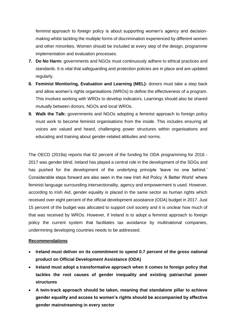feminist approach to foreign policy is about supporting women's agency and decisionmaking whilst tackling the multiple forms of discrimination experienced by different women and other minorities. Women should be included at every step of the design, programme implementation and evaluation processes.

- **7. Do No Harm:** governments and NGOs must continuously adhere to ethical practices and standards. It is vital that safeguarding and protection policies are in place and are updated regularly.
- **8. Feminist Monitoring, Evaluation and Learning (MEL):** donors must take a step back and allow women's rights organisations (WROs) to define the effectiveness of a program. This involves working with WROs to develop indicators. Learnings should also be shared mutually between donors, NGOs and local WROs.
- **9. Walk the Talk:** governments and NGOs adopting a feminist approach to foreign policy must work to become feminist organisations from the inside. This includes ensuring all voices are valued and heard, challenging power structures within organisations and educating and training about gender-related attitudes and norms.

The OECD (2019a) reports that 62 percent of the funding for ODA programming for 2016 - 2017 was gender blind. Ireland has played a central role in the development of the SDGs and has pushed for the development of the underlying principle 'leave no one behind.' Considerable steps forward are also seen in the new Irish Aid Policy 'A Better World' where feminist language surrounding intersectionality, agency and empowerment is used. However, according to Irish Aid, gender equality is placed in the same sector as human rights which received over eight percent of the official development assistance (ODA) budget in 2017. Just 15 percent of the budget was allocated to support civil society and it is unclear how much of that was received by WROs. However, if Ireland is to adopt a feminist approach to foreign policy the current system that facilitates tax avoidance by multinational companies, undermining developing countries needs to be addressed.

#### **Recommendations**

- **Ireland must deliver on its commitment to spend 0.7 percent of the gross national product on Official Development Assistance (ODA)**
- **Ireland must adopt a transformative approach when it comes to foreign policy that tackles the root causes of gender inequality and existing patriarchal power structures**
- **A twin-track approach should be taken, meaning that standalone pillar to achieve gender equality and access to women's rights should be accompanied by effective gender mainstreaming in every sector**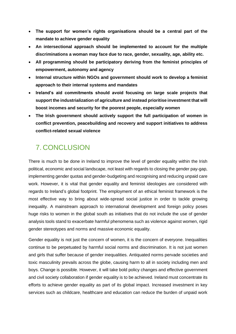- **The support for women's rights organisations should be a central part of the mandate to achieve gender equality**
- **An intersectional approach should be implemented to account for the multiple discriminations a woman may face due to race, gender, sexuality, age, ability etc.**
- **All programming should be participatory deriving from the feminist principles of empowerment, autonomy and agency**
- **Internal structure within NGOs and government should work to develop a feminist approach to their internal systems and mandates**
- **Ireland's aid commitments should avoid focusing on large scale projects that support the industrialization of agriculture and instead prioritise investment that will boost incomes and security for the poorest people, especially women**
- **The Irish government should actively support the full participation of women in conflict prevention, peacebuilding and recovery and support initiatives to address conflict-related sexual violence**

## 7. CONCLUSION

There is much to be done in Ireland to improve the level of gender equality within the Irish political, economic and social landscape, not least with regards to closing the gender pay-gap, implementing gender quotas and gender-budgeting and recognising and reducing unpaid care work. However, it is vital that gender equality and feminist ideologies are considered with regards to Ireland's global footprint. The employment of an ethical feminist framework is the most effective way to bring about wide-spread social justice in order to tackle growing inequality. A mainstream approach to international development and foreign policy poses huge risks to women in the global south as initiatives that do not include the use of gender analysis tools stand to exacerbate harmful phenomena such as violence against women, rigid gender stereotypes and norms and massive economic equality.

Gender equality is not just the concern of women, it is the concern of everyone. Inequalities continue to be perpetuated by harmful social norms and discrimination. It is not just women and girls that suffer because of gender inequalities. Antiquated norms pervade societies and toxic masculinity prevails across the globe, causing harm to all in society including men and boys. Change is possible. However, it will take bold policy changes and effective government and civil society collaboration if gender equality is to be achieved. Ireland must concentrate its efforts to achieve gender equality as part of its global impact. Increased investment in key services such as childcare, healthcare and education can reduce the burden of unpaid work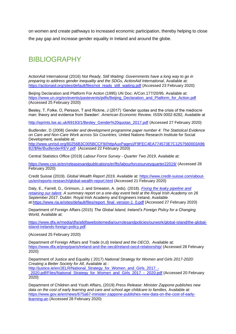on women and create pathways to increased economic participation, thereby helping to close the pay gap and increase gender equality in Ireland and around the globe.

### BIBLIOGRAPHY

ActionAid International (2016) *Not Ready, Still Waiting: Governments have a long way to go in preparing to address gender inequality and the SDGs, ActionAid International*, Available at: [https://actionaid.org/sites/default/files/not\\_ready\\_still\\_waiting.pdf](https://actionaid.org/sites/default/files/not_ready_still_waiting.pdf) (Accessed 23 February 2020)

Beijing Declaration and Platform For Action (1995) UN Doc: A/Con.177/20/95. Available at: [https://www.un.org/en/events/pastevents/pdfs/Beijing\\_Declaration\\_and\\_Platform\\_for\\_Action.pdf](https://www.un.org/en/events/pastevents/pdfs/Beijing_Declaration_and_Platform_for_Action.pdf) (Accessed 25 February 2020)

Besley, T, Folke, O, Persson, T and Rickne, J (2017) 'Gender quotas and the crisis of the mediocre man: theory and evidence from Sweden'. *American Economic Review.* ISSN 0002-8282, Available at

[http://eprints.lse.ac.uk/69193/1/Besley\\_Gender%20quotas\\_2017.pdf](http://eprints.lse.ac.uk/69193/1/Besley_Gender%20quotas_2017.pdf) (Accessed 27 February 2020)

Budlender, D (2008) *Gender and development programme paper number 4: The Statistical Evidence on Care and Non-Care Work across Six Countries,* United Nations Research Institute for Social Development, available at:

[http://www.unrisd.org/80256B3C005BCCF9/\(httpAuxPages\)/F9FEC4EA774573E7C1257560003A96](http://www.unrisd.org/80256B3C005BCCF9/(httpAuxPages)/F9FEC4EA774573E7C1257560003A96B2/$file/BudlenderREV.pdf) [B2/\\$file/BudlenderREV.pdf](http://www.unrisd.org/80256B3C005BCCF9/(httpAuxPages)/F9FEC4EA774573E7C1257560003A96B2/$file/BudlenderREV.pdf) (Accessed 22 February 2020)

Central Statistics Office (2019) *Labour Force Survey - Quarter Two 2019*, Available at:

<https://www.cso.ie/en/releasesandpublications/er/lfs/labourforcesurveyquarter22019/> (Accessed 28 February 2020)

Credit Suisse (2019). *Global Wealth Report 2019,* Available at: [https://www.credit-suisse.com/about](https://www.credit-suisse.com/about-us/en/reports-research/global-wealth-report.html)[us/en/reports-research/global-wealth-report.html](https://www.credit-suisse.com/about-us/en/reports-research/global-wealth-report.html) (Accessed 21 February 2020)

Daly, E., Farrell, G., Grimson, J. and Smeaton, A. (eds). (2018). *[Fixing the leaky pipeline and](https://www.ria.ie/news/science-committees-engineering-and-computer-sciences-committee/fixing-leaky-pipeline-and)  [retaining our talent.](https://www.ria.ie/news/science-committees-engineering-and-computer-sciences-committee/fixing-leaky-pipeline-and) A summary report on a one-day event held at the Royal Irish Academy on 26 September 201*7. Dublin: Royal Irish Academy and Engineers Ireland, Available at[:https://www.ria.ie/sites/default/files/report\\_final\\_version-1\\_0.pdf](https://www.ria.ie/sites/default/files/report_final_version-1_0.pdf) (Accessed 27 February 2020)

Department of Foreign Affairs (2015) *The Global Island, Ireland's Foreign Policy for a Changing World,* Available at:

[https://www.dfa.ie/media/dfa/alldfawebsitemedia/ourrolesandpolicies/ourwork/global-island/the-global](https://www.dfa.ie/media/dfa/alldfawebsitemedia/ourrolesandpolicies/ourwork/global-island/the-global-island-irelands-foreign-policy.pdf)[island-irelands-foreign-policy.pdf](https://www.dfa.ie/media/dfa/alldfawebsitemedia/ourrolesandpolicies/ourwork/global-island/the-global-island-irelands-foreign-policy.pdf)

(Accessed 25 February 2020)

Department of Foreign Affairs and Trade (n,d) *Ireland and the OECD*, Available at: <https://www.dfa.ie/prep/paris/ireland-and-the-oecd/ireland-oecd-relationship/> (Accessed 28 February 2020)

Department of Justice and Equality ( 2017) *National Strategy for Women and Girls 2017-2020: Creating a Better Society for All,* Available at : [http://justice.ie/en/JELR/National\\_Strategy\\_for\\_Women\\_and\\_Girls\\_2017\\_-](http://justice.ie/en/JELR/National_Strategy_for_Women_and_Girls_2017_-_2020.pdf/Files/National_Strategy_for_Women_and_Girls_2017_-_2020.pdf)

[\\_2020.pdf/Files/National\\_Strategy\\_for\\_Women\\_and\\_Girls\\_2017\\_-\\_2020.pdf](http://justice.ie/en/JELR/National_Strategy_for_Women_and_Girls_2017_-_2020.pdf/Files/National_Strategy_for_Women_and_Girls_2017_-_2020.pdf) (Accessed 20 February 2020)

Department of Children and Youth Affairs, (2019) *Press Release: Minister Zappone publishes new data on the cost of early learning and care and school age childcare to families,* Available at: [https://www.gov.ie/en/news/675a67-minister-zappone-publishes-new-data-on-the-cost-of-early](https://www.gov.ie/en/news/675a67-minister-zappone-publishes-new-data-on-the-cost-of-early-learning-an/)[learning-an](https://www.gov.ie/en/news/675a67-minister-zappone-publishes-new-data-on-the-cost-of-early-learning-an/) (Accessed 28 February 2020)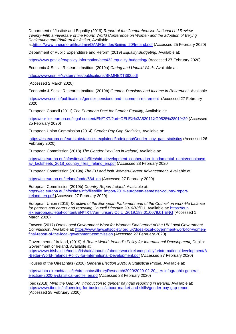Department of Justice and Equality (2019) *Report of the Comprehensive National Led Review, Twenty-Fifth anniversary of the Fourth World Conference on Women and the adoption of Beijing Declaration and Platform for Action,* Available at[:https://www.unece.org/fileadmin/DAM/Gender/Beijing\\_20/Ireland.pdf](https://www.unece.org/fileadmin/DAM/Gender/Beijing_20/Ireland.pdf) (Accessed 25 February 2020)

Department of Public Expenditure and Reform (2019) *Equality Budgeting,* Available at:

<https://www.gov.ie/en/policy-information/aec432-equality-budgeting/> (Accessed 27 February 2020)

Economic & Social Research Institute (2019a) *Caring and Unpaid Work*. Available at:

<https://www.esri.ie/system/files/publications/BKMNEXT382.pdf>

(Accessed 2 March 2020)

Economic & Social Research Institute (2019b) *Gender, Pensions and Income in Retirement,* Available

<https://www.esri.ie/publications/gender-pensions-and-income-in-retirement>(Accessed 27 February 2020

European Council (2011) *The European Pact for Gender Equality,* Available at:

<https://eur-lex.europa.eu/legal-content/EN/TXT/?uri=CELEX%3A52011XG0525%2801%29> (Accessed 25 February 2020)

European Union Commission (2014) *Gender Pay Gap Statistics,* Available at:

[https://ec.europa.eu/eurostat/statistics-explained/index.php/Gender\\_pay\\_gap\\_statistics](https://ec.europa.eu/eurostat/statistics-explained/index.php/Gender_pay_gap_statistics) (Accessed 26 February 2020)

European Commission (2018) *The Gender Pay Gap in Ireland,* Available at:

[https://ec.europa.eu/info/sites/info/files/aid\\_development\\_cooperation\\_fundamental\\_rights/equalpayd](https://ec.europa.eu/info/sites/info/files/aid_development_cooperation_fundamental_rights/equalpayday_factsheets_2018_country_files_ireland_en.pdf) ay factsheets 2018 country files ireland en.pdf (Accessed 28 February 2020)

European Commission (2019a) *The EU and Irish Women-Career Advancement,* Available at:

[https://ec.europa.eu/ireland/node/684\\_en](https://ec.europa.eu/ireland/node/684_en) (Accessed 27 February 2020)

European Commission (2019b) *Country Report Ireland*, Available at: [https://ec.europa.eu/info/sites/info/files/file\\_import/2019-european-semester-country-report](https://ec.europa.eu/info/sites/info/files/file_import/2019-european-semester-country-report-ireland_en.pdf)[ireland\\_en.pd](https://ec.europa.eu/info/sites/info/files/file_import/2019-european-semester-country-report-ireland_en.pdf)**[f](https://ec.europa.eu/info/sites/info/files/file_import/2019-european-semester-country-report-ireland_en.pdf) (**Accessed 27 February 2020)

European Union (2019) *Directive of the European Parliament and of the Council on work-life balance for parents and carers and repealing Council Directive 2010/18*/EU, Available at: [https://eur](https://eur-lex.europa.eu/legal-content/EN/TXT/?uri=uriserv:OJ.L_.2019.188.01.0079.01.ENG)[lex.europa.eu/legal-content/EN/TXT/?uri=uriserv:OJ.L\\_.2019.188.01.0079.01.ENG](https://eur-lex.europa.eu/legal-content/EN/TXT/?uri=uriserv:OJ.L_.2019.188.01.0079.01.ENG) (Accessed 1 March 2020)

Fawcett (2017) *Does Local Government Work for Women: Final report of the UK Local Government Commissio*n, Available at: [https://www.fawcettsociety.org.uk/does-local-government-work-for-women](https://www.fawcettsociety.org.uk/does-local-government-work-for-women-final-report-of-the-local-government-commission)[final-report-of-the-local-government-commission](https://www.fawcettsociety.org.uk/does-local-government-work-for-women-final-report-of-the-local-government-commission) (Accessed 27 February 2020)

Government of Ireland, (2019) *A Better World: Ireland's Policy for International Development,* Dublin: Government of Ireland, Available at:

[https://www.irishaid.ie/media/irishaid/aboutus/abetterworldirelandspolicyforinternationaldevelopment/A](https://www.irishaid.ie/media/irishaid/aboutus/abetterworldirelandspolicyforinternationaldevelopment/A-Better-World-Irelands-Policy-for-International-Development.pdf) [-Better-World-Irelands-Policy-for-International-Development.pdf](https://www.irishaid.ie/media/irishaid/aboutus/abetterworldirelandspolicyforinternationaldevelopment/A-Better-World-Irelands-Policy-for-International-Development.pdf) (Accessed 27 February 2020)

Houses of the Oireachtas (2020) *General Election 2020: A Statistical Profile,* Available at:

[https://data.oireachtas.ie/ie/oireachtas/libraryResearch/2020/2020-02-20\\_l-rs-infographic-general](https://data.oireachtas.ie/ie/oireachtas/libraryResearch/2020/2020-02-20_l-rs-infographic-general-election-2020-a-statistical-profile_en.pdf)[election-2020-a-statistical-profile\\_en.pd](https://data.oireachtas.ie/ie/oireachtas/libraryResearch/2020/2020-02-20_l-rs-infographic-general-election-2020-a-statistical-profile_en.pdf) (Accessed 28 February 2020)

Ibec (2018) *Mind the Gap: An introduction to gender pay gap reporting in Ireland, Available at:* <https://www.ibec.ie/influencing-for-business/labour-market-and-skills/gender-pay-gap-report> (Accessed 28 February 2020)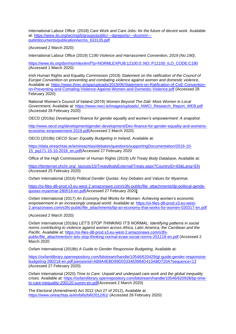International Labour Office (2018) *Care Work and Care Jobs: for the future of decent work.* Available at: [https://www.ilo.org/wcmsp5/groups/public/---dgreports/---dcomm/--](https://www.ilo.org/wcmsp5/groups/public/---dgreports/---dcomm/---publ/documents/publication/wcms_633135.pdf) [publ/documents/publication/wcms\\_633135.pdf](https://www.ilo.org/wcmsp5/groups/public/---dgreports/---dcomm/---publ/documents/publication/wcms_633135.pdf)

(Accessed 2 March 2020)

International Labour Office (2019) *C190 Violence and Harrassment Convention, 2019 (No.190)*,

[https://www.ilo.org/dyn/normlex/en/f?p=NORMLEXPUB:12100:0::NO::P12100\\_ILO\\_CODE:C190](https://www.ilo.org/dyn/normlex/en/f?p=NORMLEXPUB:12100:0::NO::P12100_ILO_CODE:C190) (Accessed 1 March 2020)

Irish Human Rights and Equality Commission (2019) *Statement on the ratification of the Council of Europe Convention on preventing and combating violence against women and domestic violence*, Available at: [https://www.ihrec.ie/app/uploads/2019/06/Statement-on-Ratification-of-CoE-Convention](https://www.ihrec.ie/app/uploads/2019/06/Statement-on-Ratification-of-CoE-Convention-on-Preventing-and-Comating-Violence-Against-Women-and-Domestic-Violence.pdf)[on-Preventing-and-Comating-Violence-Against-Women-and-Domestic-Violence.pdf](https://www.ihrec.ie/app/uploads/2019/06/Statement-on-Ratification-of-CoE-Convention-on-Preventing-and-Comating-Violence-Against-Women-and-Domestic-Violence.pdf) (Accessed 28 February 2020)

National Women's Council of Ireland (2019) *Women Beyond The Dáil: More Women in Local*  Government, Available at: https://www.nwci.ie/images/uploads/\_NWCI\_Research\_Report\_WEB.pdf (Accessed 28 February 2020)

OECD (2019a) *Development finance for gender equality and women's empowerment: A snapshot.* 

[http://www.oecd.org/development/gender-development/Dev-finance-for-gender-equality-and-womens](http://www.oecd.org/development/gender-development/Dev-finance-for-gender-equality-and-womens-economic-empowerment-2019.pdf)[economic-empowerment-2019.pdf\(](http://www.oecd.org/development/gender-development/Dev-finance-for-gender-equality-and-womens-economic-empowerment-2019.pdf)Accessed 2 March 2020)

OECD (2019b) *OECD Scan: Equality Budgeting in Ireland,* Available at:

[https://data.oireachtas.ie/ie/oireachtas/debates/questions/supportingDocumentation/2019-10-](https://data.oireachtas.ie/ie/oireachtas/debates/questions/supportingDocumentation/2019-10-15_pq171-15-10-2019_en.pdf) [15\\_pq171-15-10-2019\\_en.pdf\(](https://data.oireachtas.ie/ie/oireachtas/debates/questions/supportingDocumentation/2019-10-15_pq171-15-10-2019_en.pdf)Accessed 27 February 2020

Office of the High Commissioner of Human Rights (2019) *UN Treaty Body Database,* Available at:

[https://tbinternet.ohchr.org/\\_layouts/15/TreatyBodyExternal/Treaty.aspx?CountryID=83&Lang=EN](https://tbinternet.ohchr.org/_layouts/15/TreatyBodyExternal/Treaty.aspx?CountryID=83&Lang=EN) (Accessed 25 February 2020)

Oxfam International (2016) *Political Gender Quotas: Key Debates and Values for Myanmar,* 

[https://oi-files-d8-prod.s3.eu-west-2.amazonaws.com/s3fs-public/file\\_attachments/dp-political-gende](https://oi-files-d8-prod.s3.eu-west-2.amazonaws.com/s3fs-public/file_attachments/dp-political-gende-quotas-myanmar-280516-en.pdf)[quotas-myanmar-280516-en.pdf\(](https://oi-files-d8-prod.s3.eu-west-2.amazonaws.com/s3fs-public/file_attachments/dp-political-gende-quotas-myanmar-280516-en.pdf)Accessed 27 February 2020**)**

Oxfam International (2017) *An Economy that Works for Women: Achieving women's economic empowerment in an increasingly unequal world.* Available at: [https://oi-files-d8-prod.s3.eu-west-](https://oi-files-d8-prod.s3.eu-west-2.amazonaws.com/s3fs-public/file_attachments/bp-an-economy-that-works-for-women-020317-en.pdf)[2.amazonaws.com/s3fs-public/file\\_attachments/bp-an-economy-that-works-for-women-020317-en.pdf](https://oi-files-d8-prod.s3.eu-west-2.amazonaws.com/s3fs-public/file_attachments/bp-an-economy-that-works-for-women-020317-en.pdf)

(Accessed 2 March 2020)

Oxfam International (2018a) *LET'S STOP THINKING IT'S NORMAL: Identifying patterns in social norms contributing to violence against women across Africa, Latin America, the Carribean and the Pacific.* Available at: [https://oi-files-d8-prod.s3.eu-west-2.amazonaws.com/s3fs](https://oi-files-d8-prod.s3.eu-west-2.amazonaws.com/s3fs-public/file_attachments/rr-lets-stop-thinking-normal-evaw-social-norms-251118-en.pdf)[public/file\\_attachments/rr-lets-stop-thinking-normal-evaw-social-norms-251118-en.pdf](https://oi-files-d8-prod.s3.eu-west-2.amazonaws.com/s3fs-public/file_attachments/rr-lets-stop-thinking-normal-evaw-social-norms-251118-en.pdf) (Accessed 2 March 2020

Oxfam International (2018b) *A Guide to Gender Responsive Budgeting,* Available at:

[https://oxfamilibrary.openrepository.com/bitstream/handle/10546/620429/gt-guide-gender-responsive](https://oxfamilibrary.openrepository.com/bitstream/handle/10546/620429/gt-guide-gender-responsive-budgeting-280218-en.pdf;jsessionid=AB9A4EBD99D0333483984D410ABD720A?sequence=13)[budgeting-280218-en.pdf;jsessionid=AB9A4EBD99D0333483984D410ABD720A?sequence=13](https://oxfamilibrary.openrepository.com/bitstream/handle/10546/620429/gt-guide-gender-responsive-budgeting-280218-en.pdf;jsessionid=AB9A4EBD99D0333483984D410ABD720A?sequence=13) (Accessed 27 February 2020)

Oxfam International (2020) *Time to Care: Unpaid and underpaid care work and the global inequality crises.* Available at: [https://oxfamilibrary.openrepository.com/bitstream/handle/10546/620928/bp-time](https://oxfamilibrary.openrepository.com/bitstream/handle/10546/620928/bp-time-to-care-inequality-200120-summ-en.pdf)[to-care-inequality-200120-summ-en.pdf\(](https://oxfamilibrary.openrepository.com/bitstream/handle/10546/620928/bp-time-to-care-inequality-200120-summ-en.pdf)Accessed 2 March 2020)

The Electoral (Amendment) Act 2012 (Act 27 of 2012), Available at <https://www.oireachtas.ie/en/bills/bill/2012/61/> (Accessed 28 February 2020)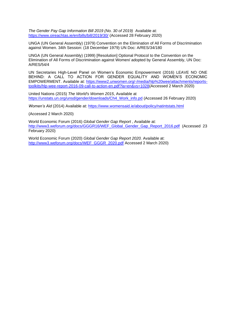*The Gender Pay Gap Information Bill 2019 (No. 30 of 2019)* Available at: <https://www.oireachtas.ie/en/bills/bill/2019/30/> (Accessed 28 February 2020)

UNGA (UN General Assembly) (1979) Convention on the Elimination of All Forms of Discrimination against Women. 34th Session: (18 December 1979) UN Doc: A/RES/34/180

UNGA (UN General Assembly) (1999) [Resolution] Optional Protocol to the Convention on the Elimination of All Forms of Discrimination against Women/ adopted by General Assembly, UN Doc: A/RES/54/4

UN Secretaries High-Level Panel on Women's Economic Empowerment (2016) LEAVE NO ONE BEHIND: A CALL TO ACTION FOR GENDER EQUALITY AND WOMEN'S ECONOMIC EMPOWERMENT. Available at: [https://www2.unwomen.org/-/media/hlp%20wee/attachments/reports](https://www2.unwomen.org/-/media/hlp%20wee/attachments/reports-toolkits/hlp-wee-report-2016-09-call-to-action-en.pdf?la=en&vs=1028)[toolkits/hlp-wee-report-2016-09-call-to-action-en.pdf?la=en&vs=1028\(](https://www2.unwomen.org/-/media/hlp%20wee/attachments/reports-toolkits/hlp-wee-report-2016-09-call-to-action-en.pdf?la=en&vs=1028)Accessed 2 March 2020)

United Nations (2015) *The World's Women 2015*, Available at [https://unstats.un.org/unsd/gender/downloads/Ch4\\_Work\\_info.pd](https://unstats.un.org/unsd/gender/downloads/Ch4_Work_info.pd) (Accessed 26 February 2020)

*Women's Aid (2014) Available at:<https://www.womensaid.ie/about/policy/natintstats.html>* 

(Accessed 2 March 2020)

World Economic Forum (2016) *Global Gender Gap Report* , Available at: [http://www3.weforum.org/docs/GGGR16/WEF\\_Global\\_Gender\\_Gap\\_Report\\_2016.pdf](http://www3.weforum.org/docs/GGGR16/WEF_Global_Gender_Gap_Report_2016.pdf) (Accessed 23 February 2020)

World Economic Forum (2020) *Global Gender Gap Report 2020.* Available at: [http://www3.weforum.org/docs/WEF\\_GGGR\\_2020.pdf](http://www3.weforum.org/docs/WEF_GGGR_2020.pdf) Accessed 2 March 2020)